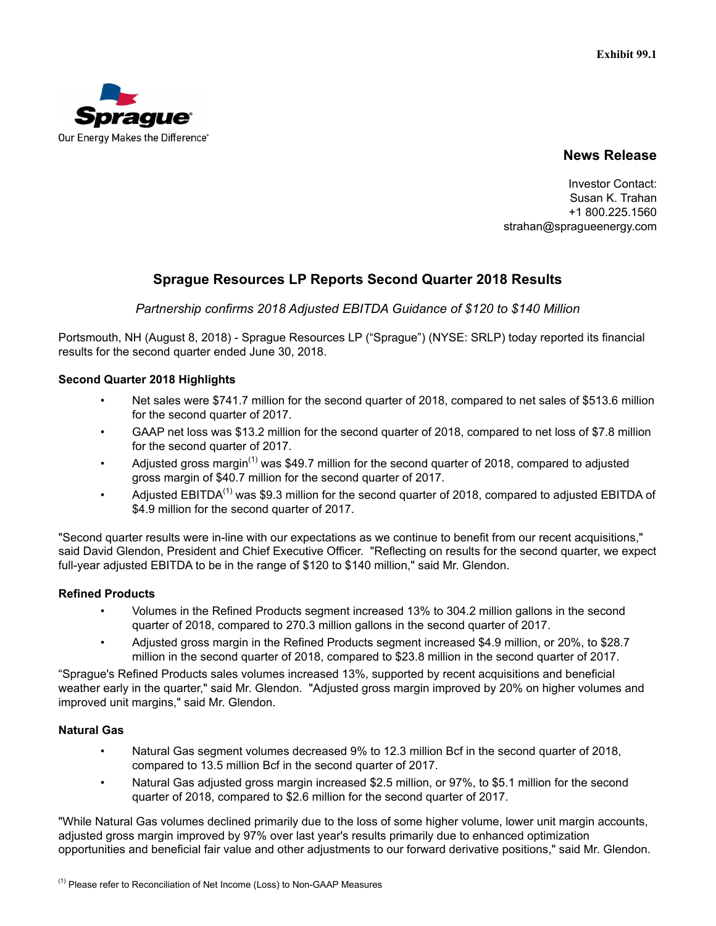

## **News Release**

Investor Contact: Susan K. Trahan +1 800.225.1560 strahan@spragueenergy.com

# **Sprague Resources LP Reports Second Quarter 2018 Results**

*Partnership confirms 2018 Adjusted EBITDA Guidance of \$120 to \$140 Million*

Portsmouth, NH (August 8, 2018) - Sprague Resources LP ("Sprague") (NYSE: SRLP) today reported its financial results for the second quarter ended June 30, 2018.

# **Second Quarter 2018 Highlights**

- Net sales were \$741.7 million for the second quarter of 2018, compared to net sales of \$513.6 million for the second quarter of 2017.
- GAAP net loss was \$13.2 million for the second quarter of 2018, compared to net loss of \$7.8 million for the second quarter of 2017.
- Adjusted gross margin<sup>(1)</sup> was \$49.7 million for the second quarter of 2018, compared to adjusted gross margin of \$40.7 million for the second quarter of 2017.
- Adjusted EBITDA<sup>(1)</sup> was \$9.3 million for the second quarter of 2018, compared to adjusted EBITDA of \$4.9 million for the second quarter of 2017.

"Second quarter results were in-line with our expectations as we continue to benefit from our recent acquisitions," said David Glendon, President and Chief Executive Officer. "Reflecting on results for the second quarter, we expect full-year adjusted EBITDA to be in the range of \$120 to \$140 million," said Mr. Glendon.

# **Refined Products**

- Volumes in the Refined Products segment increased 13% to 304.2 million gallons in the second quarter of 2018, compared to 270.3 million gallons in the second quarter of 2017.
- Adjusted gross margin in the Refined Products segment increased \$4.9 million, or 20%, to \$28.7 million in the second quarter of 2018, compared to \$23.8 million in the second quarter of 2017.

"Sprague's Refined Products sales volumes increased 13%, supported by recent acquisitions and beneficial weather early in the quarter," said Mr. Glendon. "Adjusted gross margin improved by 20% on higher volumes and improved unit margins," said Mr. Glendon.

# **Natural Gas**

- Natural Gas segment volumes decreased 9% to 12.3 million Bcf in the second quarter of 2018, compared to 13.5 million Bcf in the second quarter of 2017.
- Natural Gas adjusted gross margin increased \$2.5 million, or 97%, to \$5.1 million for the second quarter of 2018, compared to \$2.6 million for the second quarter of 2017.

"While Natural Gas volumes declined primarily due to the loss of some higher volume, lower unit margin accounts, adjusted gross margin improved by 97% over last year's results primarily due to enhanced optimization opportunities and beneficial fair value and other adjustments to our forward derivative positions," said Mr. Glendon.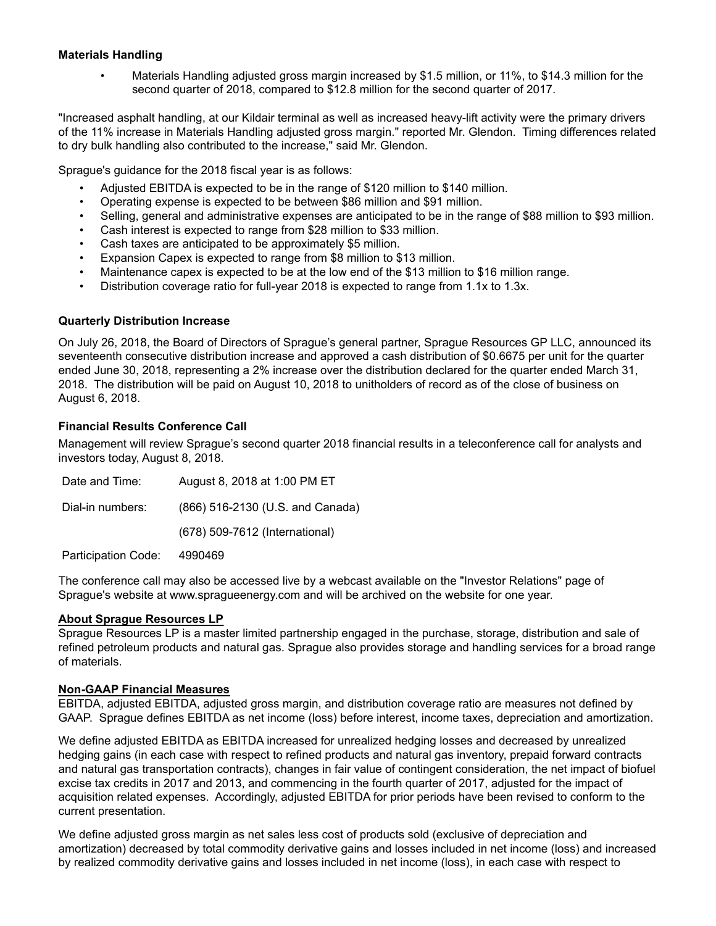## **Materials Handling**

• Materials Handling adjusted gross margin increased by \$1.5 million, or 11%, to \$14.3 million for the second quarter of 2018, compared to \$12.8 million for the second quarter of 2017.

"Increased asphalt handling, at our Kildair terminal as well as increased heavy-lift activity were the primary drivers of the 11% increase in Materials Handling adjusted gross margin." reported Mr. Glendon. Timing differences related to dry bulk handling also contributed to the increase," said Mr. Glendon.

Sprague's guidance for the 2018 fiscal year is as follows:

- Adjusted EBITDA is expected to be in the range of \$120 million to \$140 million.
- Operating expense is expected to be between \$86 million and \$91 million.
- Selling, general and administrative expenses are anticipated to be in the range of \$88 million to \$93 million.
- Cash interest is expected to range from \$28 million to \$33 million.
- Cash taxes are anticipated to be approximately \$5 million.
- Expansion Capex is expected to range from \$8 million to \$13 million.
- Maintenance capex is expected to be at the low end of the \$13 million to \$16 million range.
- Distribution coverage ratio for full-year 2018 is expected to range from 1.1x to 1.3x.

#### **Quarterly Distribution Increase**

On July 26, 2018, the Board of Directors of Sprague's general partner, Sprague Resources GP LLC, announced its seventeenth consecutive distribution increase and approved a cash distribution of \$0.6675 per unit for the quarter ended June 30, 2018, representing a 2% increase over the distribution declared for the quarter ended March 31, 2018. The distribution will be paid on August 10, 2018 to unitholders of record as of the close of business on August 6, 2018.

#### **Financial Results Conference Call**

Management will review Sprague's second quarter 2018 financial results in a teleconference call for analysts and investors today, August 8, 2018.

| Date and Time:      | August 8, 2018 at 1:00 PM ET     |
|---------------------|----------------------------------|
| Dial-in numbers:    | (866) 516-2130 (U.S. and Canada) |
|                     | (678) 509-7612 (International)   |
| Participation Code: | 4990469                          |

The conference call may also be accessed live by a webcast available on the "Investor Relations" page of Sprague's website at www.spragueenergy.com and will be archived on the website for one year.

#### **About Sprague Resources LP**

Sprague Resources LP is a master limited partnership engaged in the purchase, storage, distribution and sale of refined petroleum products and natural gas. Sprague also provides storage and handling services for a broad range of materials.

#### **Non-GAAP Financial Measures**

EBITDA, adjusted EBITDA, adjusted gross margin, and distribution coverage ratio are measures not defined by GAAP. Sprague defines EBITDA as net income (loss) before interest, income taxes, depreciation and amortization.

We define adjusted EBITDA as EBITDA increased for unrealized hedging losses and decreased by unrealized hedging gains (in each case with respect to refined products and natural gas inventory, prepaid forward contracts and natural gas transportation contracts), changes in fair value of contingent consideration, the net impact of biofuel excise tax credits in 2017 and 2013, and commencing in the fourth quarter of 2017, adjusted for the impact of acquisition related expenses. Accordingly, adjusted EBITDA for prior periods have been revised to conform to the current presentation.

We define adjusted gross margin as net sales less cost of products sold (exclusive of depreciation and amortization) decreased by total commodity derivative gains and losses included in net income (loss) and increased by realized commodity derivative gains and losses included in net income (loss), in each case with respect to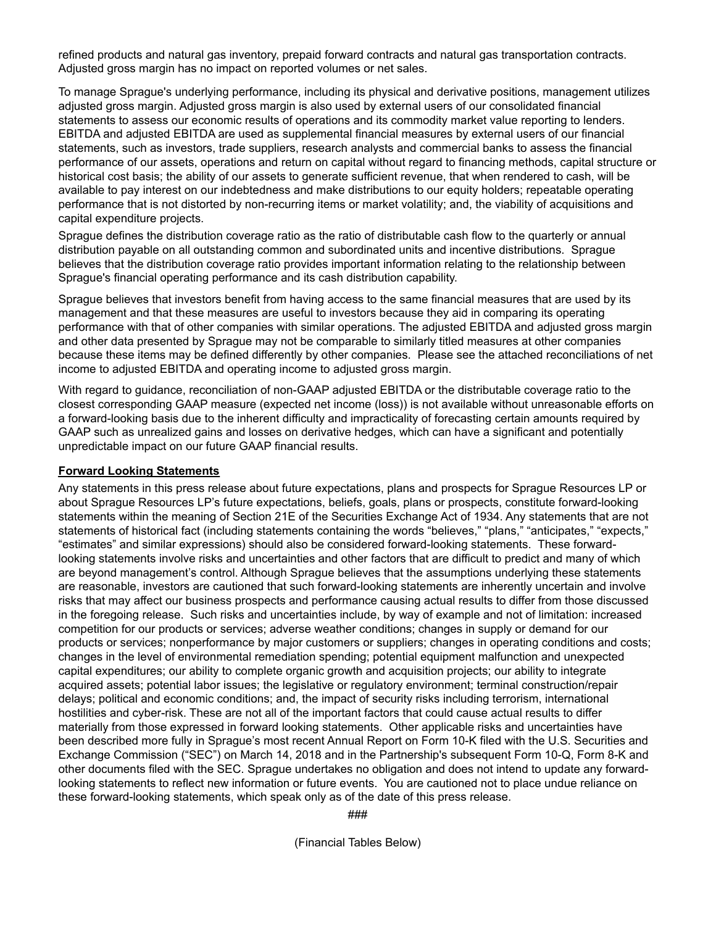refined products and natural gas inventory, prepaid forward contracts and natural gas transportation contracts. Adjusted gross margin has no impact on reported volumes or net sales.

To manage Sprague's underlying performance, including its physical and derivative positions, management utilizes adjusted gross margin. Adjusted gross margin is also used by external users of our consolidated financial statements to assess our economic results of operations and its commodity market value reporting to lenders. EBITDA and adjusted EBITDA are used as supplemental financial measures by external users of our financial statements, such as investors, trade suppliers, research analysts and commercial banks to assess the financial performance of our assets, operations and return on capital without regard to financing methods, capital structure or historical cost basis; the ability of our assets to generate sufficient revenue, that when rendered to cash, will be available to pay interest on our indebtedness and make distributions to our equity holders; repeatable operating performance that is not distorted by non-recurring items or market volatility; and, the viability of acquisitions and capital expenditure projects.

Sprague defines the distribution coverage ratio as the ratio of distributable cash flow to the quarterly or annual distribution payable on all outstanding common and subordinated units and incentive distributions. Sprague believes that the distribution coverage ratio provides important information relating to the relationship between Sprague's financial operating performance and its cash distribution capability.

Sprague believes that investors benefit from having access to the same financial measures that are used by its management and that these measures are useful to investors because they aid in comparing its operating performance with that of other companies with similar operations. The adjusted EBITDA and adjusted gross margin and other data presented by Sprague may not be comparable to similarly titled measures at other companies because these items may be defined differently by other companies. Please see the attached reconciliations of net income to adjusted EBITDA and operating income to adjusted gross margin.

With regard to guidance, reconciliation of non-GAAP adjusted EBITDA or the distributable coverage ratio to the closest corresponding GAAP measure (expected net income (loss)) is not available without unreasonable efforts on a forward-looking basis due to the inherent difficulty and impracticality of forecasting certain amounts required by GAAP such as unrealized gains and losses on derivative hedges, which can have a significant and potentially unpredictable impact on our future GAAP financial results.

# **Forward Looking Statements**

Any statements in this press release about future expectations, plans and prospects for Sprague Resources LP or about Sprague Resources LP's future expectations, beliefs, goals, plans or prospects, constitute forward-looking statements within the meaning of Section 21E of the Securities Exchange Act of 1934. Any statements that are not statements of historical fact (including statements containing the words "believes," "plans," "anticipates," "expects," "estimates" and similar expressions) should also be considered forward-looking statements. These forwardlooking statements involve risks and uncertainties and other factors that are difficult to predict and many of which are beyond management's control. Although Sprague believes that the assumptions underlying these statements are reasonable, investors are cautioned that such forward-looking statements are inherently uncertain and involve risks that may affect our business prospects and performance causing actual results to differ from those discussed in the foregoing release. Such risks and uncertainties include, by way of example and not of limitation: increased competition for our products or services; adverse weather conditions; changes in supply or demand for our products or services; nonperformance by major customers or suppliers; changes in operating conditions and costs; changes in the level of environmental remediation spending; potential equipment malfunction and unexpected capital expenditures; our ability to complete organic growth and acquisition projects; our ability to integrate acquired assets; potential labor issues; the legislative or regulatory environment; terminal construction/repair delays; political and economic conditions; and, the impact of security risks including terrorism, international hostilities and cyber-risk. These are not all of the important factors that could cause actual results to differ materially from those expressed in forward looking statements. Other applicable risks and uncertainties have been described more fully in Sprague's most recent Annual Report on Form 10-K filed with the U.S. Securities and Exchange Commission ("SEC") on March 14, 2018 and in the Partnership's subsequent Form 10-Q, Form 8-K and other documents filed with the SEC. Sprague undertakes no obligation and does not intend to update any forwardlooking statements to reflect new information or future events. You are cautioned not to place undue reliance on these forward-looking statements, which speak only as of the date of this press release.

(Financial Tables Below)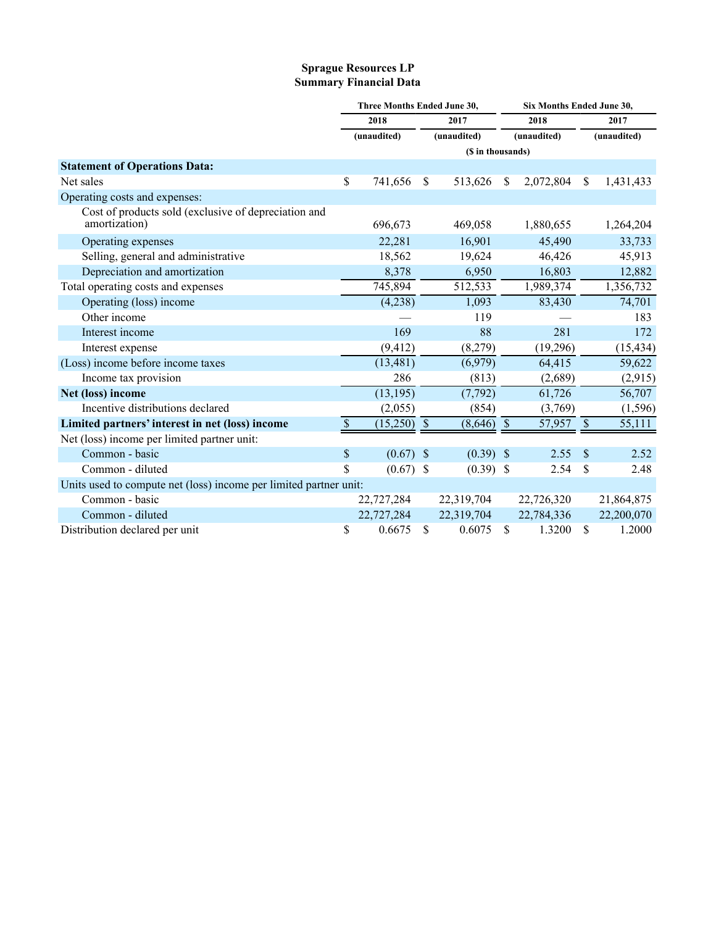# **Sprague Resources LP Summary Financial Data**

|                                                                       | Three Months Ended June 30, |               |      |              | Six Months Ended June 30, |             |               |             |  |
|-----------------------------------------------------------------------|-----------------------------|---------------|------|--------------|---------------------------|-------------|---------------|-------------|--|
|                                                                       | 2018<br>(unaudited)         |               | 2017 |              | 2018                      |             | 2017          |             |  |
|                                                                       |                             |               |      | (unaudited)  |                           | (unaudited) |               | (unaudited) |  |
|                                                                       |                             |               |      |              | (\$ in thousands)         |             |               |             |  |
| <b>Statement of Operations Data:</b>                                  |                             |               |      |              |                           |             |               |             |  |
| Net sales                                                             | \$                          | 741,656       | \$   | 513,626      | \$                        | 2,072,804   | \$            | 1,431,433   |  |
| Operating costs and expenses:                                         |                             |               |      |              |                           |             |               |             |  |
| Cost of products sold (exclusive of depreciation and<br>amortization) |                             | 696,673       |      | 469,058      |                           | 1,880,655   |               | 1,264,204   |  |
| Operating expenses                                                    |                             | 22,281        |      | 16,901       |                           | 45,490      |               | 33,733      |  |
| Selling, general and administrative                                   |                             | 18,562        |      | 19,624       |                           | 46,426      |               | 45,913      |  |
| Depreciation and amortization                                         |                             | 8,378         |      | 6,950        |                           | 16,803      |               | 12,882      |  |
| Total operating costs and expenses                                    |                             | 745,894       |      | 512,533      |                           | 1,989,374   |               | 1,356,732   |  |
| Operating (loss) income                                               |                             | (4,238)       |      | 1,093        |                           | 83,430      |               | 74,701      |  |
| Other income                                                          |                             |               |      | 119          |                           |             |               | 183         |  |
| Interest income                                                       |                             | 169           |      | 88           |                           | 281         |               | 172         |  |
| Interest expense                                                      |                             | (9, 412)      |      | (8,279)      |                           | (19,296)    |               | (15, 434)   |  |
| (Loss) income before income taxes                                     |                             | (13, 481)     |      | (6,979)      |                           | 64,415      |               | 59,622      |  |
| Income tax provision                                                  |                             | 286           |      | (813)        |                           | (2,689)     |               | (2,915)     |  |
| Net (loss) income                                                     |                             | (13, 195)     |      | (7, 792)     |                           | 61,726      |               | 56,707      |  |
| Incentive distributions declared                                      |                             | (2,055)       |      | (854)        |                           | (3,769)     |               | (1, 596)    |  |
| Limited partners' interest in net (loss) income                       | \$                          | $(15,250)$ \$ |      | $(8,646)$ \$ |                           | 57,957      | $\mathcal{S}$ | 55,111      |  |
| Net (loss) income per limited partner unit:                           |                             |               |      |              |                           |             |               |             |  |
| Common - basic                                                        | \$                          | $(0.67)$ \$   |      | $(0.39)$ \$  |                           | 2.55        | \$            | 2.52        |  |
| Common - diluted                                                      | \$                          | $(0.67)$ \$   |      | $(0.39)$ \$  |                           | 2.54        | \$            | 2.48        |  |
| Units used to compute net (loss) income per limited partner unit:     |                             |               |      |              |                           |             |               |             |  |
| Common - basic                                                        |                             | 22,727,284    |      | 22,319,704   |                           | 22,726,320  |               | 21,864,875  |  |
| Common - diluted                                                      |                             | 22,727,284    |      | 22,319,704   |                           | 22,784,336  |               | 22,200,070  |  |
| Distribution declared per unit                                        | \$                          | 0.6675        | \$   | 0.6075       | \$                        | 1.3200      | \$            | 1.2000      |  |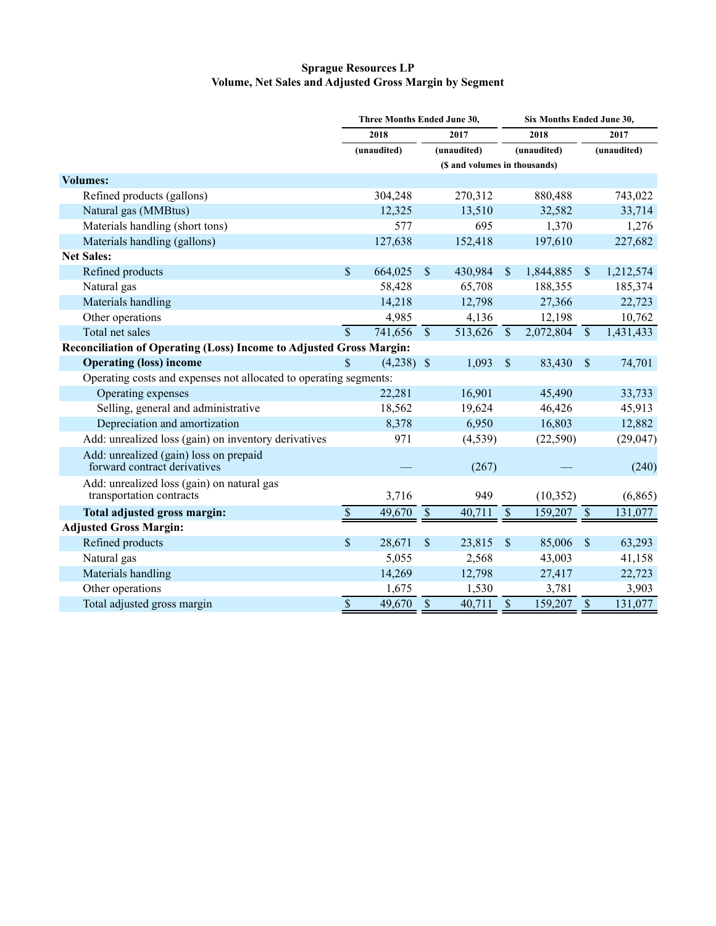#### **Sprague Resources LP Volume, Net Sales and Adjusted Gross Margin by Segment**

|                                                                        | Three Months Ended June 30, |              |                          |                               | Six Months Ended June 30, |           |                          |           |  |
|------------------------------------------------------------------------|-----------------------------|--------------|--------------------------|-------------------------------|---------------------------|-----------|--------------------------|-----------|--|
|                                                                        | 2018<br>(unaudited)         |              | 2017<br>(unaudited)      |                               | 2018<br>(unaudited)       |           | 2017<br>(unaudited)      |           |  |
|                                                                        |                             |              |                          |                               |                           |           |                          |           |  |
|                                                                        |                             |              |                          | (\$ and volumes in thousands) |                           |           |                          |           |  |
| <b>Volumes:</b>                                                        |                             |              |                          |                               |                           |           |                          |           |  |
| Refined products (gallons)                                             |                             | 304,248      |                          | 270,312                       |                           | 880,488   |                          | 743,022   |  |
| Natural gas (MMBtus)                                                   |                             | 12,325       |                          | 13,510                        |                           | 32,582    |                          | 33,714    |  |
| Materials handling (short tons)                                        |                             | 577          |                          | 695                           |                           | 1,370     |                          | 1,276     |  |
| Materials handling (gallons)                                           |                             | 127,638      |                          | 152,418                       |                           | 197,610   |                          | 227,682   |  |
| <b>Net Sales:</b>                                                      |                             |              |                          |                               |                           |           |                          |           |  |
| Refined products                                                       | $\mathbf{\hat{S}}$          | 664,025      | $\mathbb{S}$             | 430,984                       | $\mathbb{S}$              | 1,844,885 | $\mathbf{\$}$            | 1,212,574 |  |
| Natural gas                                                            |                             | 58,428       |                          | 65,708                        |                           | 188,355   |                          | 185,374   |  |
| Materials handling                                                     |                             | 14,218       |                          | 12,798                        |                           | 27,366    |                          | 22,723    |  |
| Other operations                                                       |                             | 4,985        |                          | 4,136                         |                           | 12,198    |                          | 10,762    |  |
| Total net sales                                                        | $\overline{\mathbb{S}}$     | 741,656      | $\overline{\mathcal{S}}$ | 513,626                       | $\overline{\mathcal{S}}$  | 2,072,804 | $\overline{\mathcal{S}}$ | 1,431,433 |  |
| Reconciliation of Operating (Loss) Income to Adjusted Gross Margin:    |                             |              |                          |                               |                           |           |                          |           |  |
| <b>Operating (loss) income</b>                                         | \$                          | $(4,238)$ \$ |                          | 1,093                         | \$                        | 83,430    | \$                       | 74,701    |  |
| Operating costs and expenses not allocated to operating segments:      |                             |              |                          |                               |                           |           |                          |           |  |
| Operating expenses                                                     |                             | 22,281       |                          | 16,901                        |                           | 45,490    |                          | 33,733    |  |
| Selling, general and administrative                                    |                             | 18,562       |                          | 19,624                        |                           | 46,426    |                          | 45,913    |  |
| Depreciation and amortization                                          |                             | 8,378        |                          | 6,950                         |                           | 16,803    |                          | 12,882    |  |
| Add: unrealized loss (gain) on inventory derivatives                   |                             | 971          |                          | (4, 539)                      |                           | (22, 590) |                          | (29, 047) |  |
| Add: unrealized (gain) loss on prepaid<br>forward contract derivatives |                             |              |                          | (267)                         |                           |           |                          | (240)     |  |
| Add: unrealized loss (gain) on natural gas<br>transportation contracts |                             | 3,716        |                          | 949                           |                           | (10, 352) |                          | (6, 865)  |  |
| Total adjusted gross margin:                                           | $\mathbb{S}$                | 49,670       | $\mathcal{S}$            | 40,711                        | $\mathcal{S}$             | 159,207   | $\sqrt{\frac{2}{5}}$     | 131,077   |  |
| <b>Adjusted Gross Margin:</b>                                          |                             |              |                          |                               |                           |           |                          |           |  |
| Refined products                                                       | \$                          | 28,671       | \$                       | 23,815                        | \$                        | 85,006    | \$                       | 63,293    |  |
| Natural gas                                                            |                             | 5,055        |                          | 2,568                         |                           | 43,003    |                          | 41,158    |  |
| Materials handling                                                     |                             | 14,269       |                          | 12,798                        |                           | 27,417    |                          | 22,723    |  |
| Other operations                                                       |                             | 1,675        |                          | 1,530                         |                           | 3,781     |                          | 3,903     |  |
| Total adjusted gross margin                                            | $\mathbb S$                 | 49,670       | $\overline{\mathcal{S}}$ | 40,711                        | $\overline{\mathcal{S}}$  | 159,207   | $\overline{\mathcal{S}}$ | 131,077   |  |